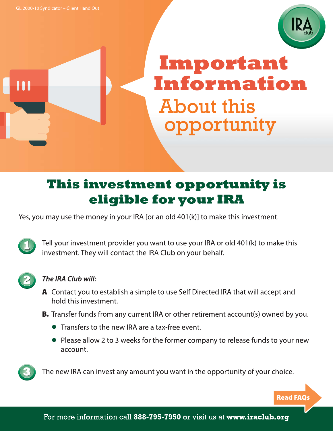

# Important Information **About this** opportunity

# This investment opportunity is eligible for your IRA

Yes, you may use the money in your IRA [or an old 401(k)] to make this investment.

Tell your investment provider you want to use your IRA or old 401(k) to make this investment. They will contact the IRA Club on your behalf.



# The IRA Club will:

- A. Contact you to establish a simple to use Self Directed IRA that will accept and hold this investment.
- **B.** Transfer funds from any current IRA or other retirement account(s) owned by you.
	- Transfers to the new IRA are a tax-free event.
	- Please allow 2 to 3 weeks for the former company to release funds to your new account.



The new IRA can invest any amount you want in the opportunity of your choice.

**Read FAQs**